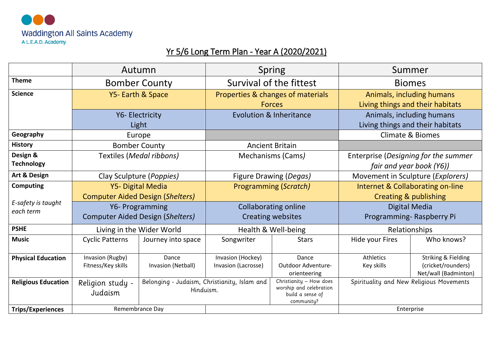

## Yr 5/6 Long Term Plan - Year A (2020/2021)

|                                 |                                                                                          | Autumn                      | <b>Spring</b>                                           |                                                                                      | Summer                                                           |                                                                              |
|---------------------------------|------------------------------------------------------------------------------------------|-----------------------------|---------------------------------------------------------|--------------------------------------------------------------------------------------|------------------------------------------------------------------|------------------------------------------------------------------------------|
| <b>Theme</b>                    |                                                                                          | <b>Bomber County</b>        |                                                         | Survival of the fittest                                                              | <b>Biomes</b>                                                    |                                                                              |
| <b>Science</b>                  | Y5- Earth & Space                                                                        |                             | Properties & changes of materials<br><b>Forces</b>      |                                                                                      | Animals, including humans<br>Living things and their habitats    |                                                                              |
|                                 | Y6- Electricity<br>Light                                                                 |                             | <b>Evolution &amp; Inheritance</b>                      |                                                                                      | Animals, including humans<br>Living things and their habitats    |                                                                              |
| Geography                       | Europe                                                                                   |                             |                                                         |                                                                                      | <b>Climate &amp; Biomes</b>                                      |                                                                              |
| <b>History</b>                  | <b>Bomber County</b>                                                                     |                             | <b>Ancient Britain</b>                                  |                                                                                      |                                                                  |                                                                              |
| Design &<br><b>Technology</b>   | <b>Textiles (Medal ribbons)</b>                                                          |                             | <b>Mechanisms (Cams)</b>                                |                                                                                      | Enterprise (Designing for the summer<br>fair and year book (Y6)) |                                                                              |
| Art & Design                    | Clay Sculpture (Poppies)                                                                 |                             | Figure Drawing (Degas)                                  |                                                                                      | Movement in Sculpture ( <i>Explorers</i> )                       |                                                                              |
| Computing                       | Y5- Digital Media                                                                        |                             | <b>Programming (Scratch)</b>                            |                                                                                      | Internet & Collaborating on-line                                 |                                                                              |
| E-safety is taught<br>each term | <b>Computer Aided Design (Shelters)</b>                                                  |                             |                                                         |                                                                                      | <b>Creating &amp; publishing</b>                                 |                                                                              |
|                                 | Y6- Programming<br><b>Computer Aided Design (Shelters)</b>                               |                             | <b>Collaborating online</b><br><b>Creating websites</b> |                                                                                      | Digital Media<br>Programming-Raspberry Pi                        |                                                                              |
| <b>PSHE</b>                     | Living in the Wider World                                                                |                             | Health & Well-being                                     |                                                                                      | Relationships                                                    |                                                                              |
| <b>Music</b>                    | <b>Cyclic Patterns</b>                                                                   | Journey into space          | Songwriter                                              | <b>Stars</b>                                                                         | Hide your Fires                                                  | Who knows?                                                                   |
| <b>Physical Education</b>       | Invasion (Rugby)<br>Fitness/Key skills                                                   | Dance<br>Invasion (Netball) | Invasion (Hockey)<br>Invasion (Lacrosse)                | Dance<br>Outdoor Adventure-<br>orienteering                                          | Athletics<br>Key skills                                          | <b>Striking &amp; Fielding</b><br>(cricket/rounders)<br>Net/wall (Badminton) |
| <b>Religious Education</b>      | Belonging - Judaism, Christianity, Islam and<br>Religion study -<br>Hinduism.<br>Judaism |                             |                                                         | Christianity - How does<br>worship and celebration<br>build a sense of<br>community? | Spirituality and New Religious Movements                         |                                                                              |
| <b>Trips/Experiences</b>        | Remembrance Day                                                                          |                             |                                                         |                                                                                      | Enterprise                                                       |                                                                              |